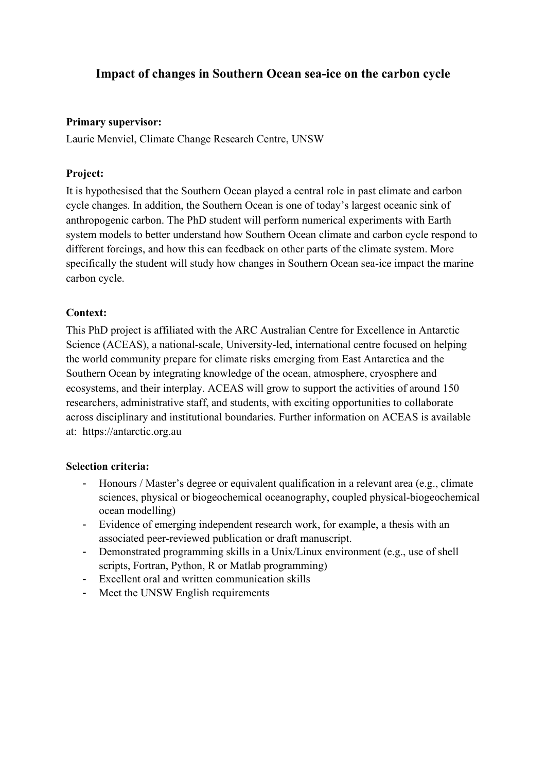# **Impact of changes in Southern Ocean sea-ice on the carbon cycle**

#### **Primary supervisor:**

Laurie Menviel, Climate Change Research Centre, UNSW

### **Project:**

It is hypothesised that the Southern Ocean played a central role in past climate and carbon cycle changes. In addition, the Southern Ocean is one of today's largest oceanic sink of anthropogenic carbon. The PhD student will perform numerical experiments with Earth system models to better understand how Southern Ocean climate and carbon cycle respond to different forcings, and how this can feedback on other parts of the climate system. More specifically the student will study how changes in Southern Ocean sea-ice impact the marine carbon cycle.

#### **Context:**

This PhD project is affiliated with the ARC Australian Centre for Excellence in Antarctic Science (ACEAS), a national-scale, University-led, international centre focused on helping the world community prepare for climate risks emerging from East Antarctica and the Southern Ocean by integrating knowledge of the ocean, atmosphere, cryosphere and ecosystems, and their interplay. ACEAS will grow to support the activities of around 150 researchers, administrative staff, and students, with exciting opportunities to collaborate across disciplinary and institutional boundaries. Further information on ACEAS is available at: https://antarctic.org.au

#### **Selection criteria:**

- Honours / Master's degree or equivalent qualification in a relevant area (e.g., climate sciences, physical or biogeochemical oceanography, coupled physical-biogeochemical ocean modelling)
- Evidence of emerging independent research work, for example, a thesis with an associated peer-reviewed publication or draft manuscript.
- Demonstrated programming skills in a Unix/Linux environment (e.g., use of shell scripts, Fortran, Python, R or Matlab programming)
- Excellent oral and written communication skills
- Meet the UNSW English requirements